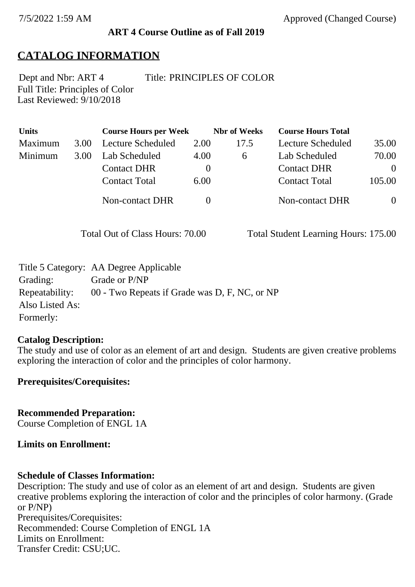#### **ART 4 Course Outline as of Fall 2019**

# **CATALOG INFORMATION**

Full Title: Principles of Color Last Reviewed: 9/10/2018 Dept and Nbr: ART 4 Title: PRINCIPLES OF COLOR

| <b>Units</b> |      | <b>Course Hours per Week</b> |          | <b>Nbr</b> of Weeks | <b>Course Hours Total</b> |          |
|--------------|------|------------------------------|----------|---------------------|---------------------------|----------|
| Maximum      | 3.00 | Lecture Scheduled            | 2.00     | 17.5                | Lecture Scheduled         | 35.00    |
| Minimum      | 3.00 | Lab Scheduled                | 4.00     | $\sigma$            | Lab Scheduled             | 70.00    |
|              |      | <b>Contact DHR</b>           | $\theta$ |                     | <b>Contact DHR</b>        | $\Omega$ |
|              |      | <b>Contact Total</b>         | 6.00     |                     | <b>Contact Total</b>      | 105.00   |
|              |      | <b>Non-contact DHR</b>       |          |                     | Non-contact DHR           | $\theta$ |

Total Out of Class Hours: 70.00 Total Student Learning Hours: 175.00

|                 | Title 5 Category: AA Degree Applicable        |
|-----------------|-----------------------------------------------|
| Grading:        | Grade or P/NP                                 |
| Repeatability:  | 00 - Two Repeats if Grade was D, F, NC, or NP |
| Also Listed As: |                                               |
| Formerly:       |                                               |

#### **Catalog Description:**

The study and use of color as an element of art and design. Students are given creative problems exploring the interaction of color and the principles of color harmony.

#### **Prerequisites/Corequisites:**

**Recommended Preparation:** Course Completion of ENGL 1A

#### **Limits on Enrollment:**

#### **Schedule of Classes Information:**

Description: The study and use of color as an element of art and design. Students are given creative problems exploring the interaction of color and the principles of color harmony. (Grade or P/NP) Prerequisites/Corequisites: Recommended: Course Completion of ENGL 1A Limits on Enrollment: Transfer Credit: CSU;UC.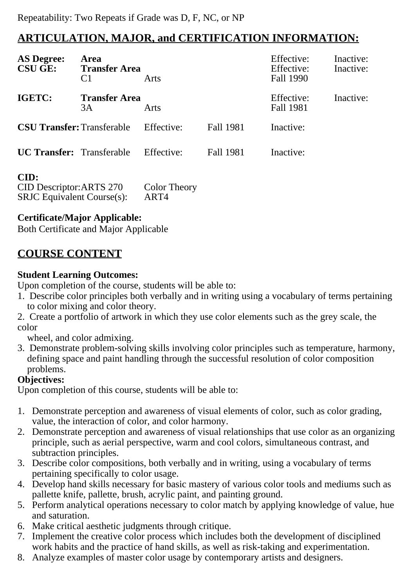# **ARTICULATION, MAJOR, and CERTIFICATION INFORMATION:**

| <b>AS Degree:</b><br><b>CSU GE:</b> | Area<br><b>Transfer Area</b><br>C <sub>1</sub> | Arts       |           | Effective:<br>Effective:<br>Fall 1990 | Inactive:<br>Inactive: |
|-------------------------------------|------------------------------------------------|------------|-----------|---------------------------------------|------------------------|
| <b>IGETC:</b>                       | <b>Transfer Area</b><br>3A                     | Arts       |           | Effective:<br>Fall 1981               | Inactive:              |
| <b>CSU Transfer: Transferable</b>   |                                                | Effective: | Fall 1981 | Inactive:                             |                        |
| <b>UC Transfer:</b> Transferable    |                                                | Effective: | Fall 1981 | Inactive:                             |                        |

## **CID:**

| ----                              |                     |
|-----------------------------------|---------------------|
| CID Descriptor: ARTS 270          | <b>Color Theory</b> |
| <b>SRJC</b> Equivalent Course(s): | ART4                |

## **Certificate/Major Applicable:**

[Both Certificate and Major Applicable](SR_ClassCheck.aspx?CourseKey=ART4)

# **COURSE CONTENT**

## **Student Learning Outcomes:**

Upon completion of the course, students will be able to:

- 1. Describe color principles both verbally and in writing using a vocabulary of terms pertaining to color mixing and color theory.
- 2. Create a portfolio of artwork in which they use color elements such as the grey scale, the color

wheel, and color admixing.

3. Demonstrate problem-solving skills involving color principles such as temperature, harmony, defining space and paint handling through the successful resolution of color composition problems.

## **Objectives:**

Upon completion of this course, students will be able to:

- 1. Demonstrate perception and awareness of visual elements of color, such as color grading, value, the interaction of color, and color harmony.
- 2. Demonstrate perception and awareness of visual relationships that use color as an organizing principle, such as aerial perspective, warm and cool colors, simultaneous contrast, and subtraction principles.
- 3. Describe color compositions, both verbally and in writing, using a vocabulary of terms pertaining specifically to color usage.
- 4. Develop hand skills necessary for basic mastery of various color tools and mediums such as pallette knife, pallette, brush, acrylic paint, and painting ground.
- 5. Perform analytical operations necessary to color match by applying knowledge of value, hue and saturation.
- 6. Make critical aesthetic judgments through critique.
- 7. Implement the creative color process which includes both the development of disciplined work habits and the practice of hand skills, as well as risk-taking and experimentation.
- 8. Analyze examples of master color usage by contemporary artists and designers.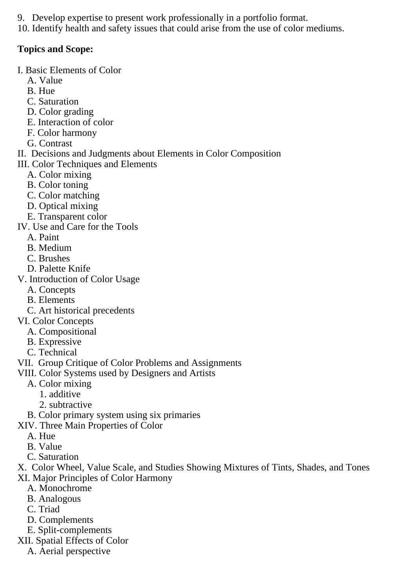- 9. Develop expertise to present work professionally in a portfolio format.
- 10. Identify health and safety issues that could arise from the use of color mediums.

# **Topics and Scope:**

- I. Basic Elements of Color
	- A. Value
	- B. Hue
	- C. Saturation
	- D. Color grading
	- E. Interaction of color
	- F. Color harmony
	- G. Contrast
- II. Decisions and Judgments about Elements in Color Composition
- III. Color Techniques and Elements
	- A. Color mixing
	- B. Color toning
	- C. Color matching
	- D. Optical mixing
	- E. Transparent color
- IV. Use and Care for the Tools
	- A. Paint
	- B. Medium
	- C. Brushes
- D. Palette Knife
- V. Introduction of Color Usage
	- A. Concepts
	- B. Elements
	- C. Art historical precedents
- VI. Color Concepts
	- A. Compositional
	- B. Expressive
	- C. Technical
- VII. Group Critique of Color Problems and Assignments
- VIII. Color Systems used by Designers and Artists
	- A. Color mixing
		- 1. additive
		- 2. subtractive
	- B. Color primary system using six primaries
- XIV. Three Main Properties of Color
	- A. Hue
	- B. Value
	- C. Saturation
- X. Color Wheel, Value Scale, and Studies Showing Mixtures of Tints, Shades, and Tones XI. Major Principles of Color Harmony
	- A. Monochrome
	- B. Analogous
	- C. Triad
	- D. Complements
	- E. Split-complements
- XII. Spatial Effects of Color
	- A. Aerial perspective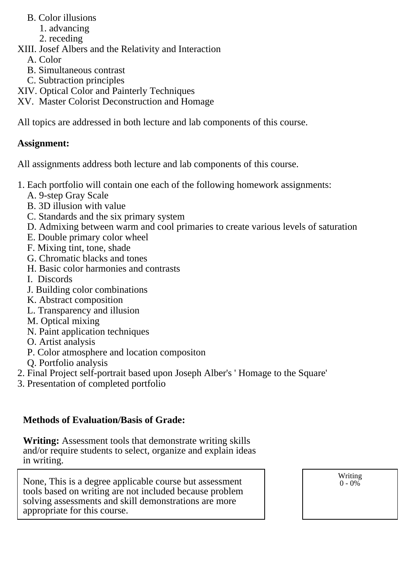- B. Color illusions
	- 1. advancing
	- 2. receding
- XIII. Josef Albers and the Relativity and Interaction
	- A. Color
	- B. Simultaneous contrast
	- C. Subtraction principles
- XIV. Optical Color and Painterly Techniques
- XV. Master Colorist Deconstruction and Homage

All topics are addressed in both lecture and lab components of this course.

## **Assignment:**

All assignments address both lecture and lab components of this course.

- 1. Each portfolio will contain one each of the following homework assignments:
	- A. 9-step Gray Scale
	- B. 3D illusion with value
	- C. Standards and the six primary system
	- D. Admixing between warm and cool primaries to create various levels of saturation
	- E. Double primary color wheel
	- F. Mixing tint, tone, shade
	- G. Chromatic blacks and tones
	- H. Basic color harmonies and contrasts
	- I. Discords
	- J. Building color combinations
	- K. Abstract composition
	- L. Transparency and illusion
	- M. Optical mixing
	- N. Paint application techniques
	- O. Artist analysis
	- P. Color atmosphere and location compositon
	- Q. Portfolio analysis
- 2. Final Project self-portrait based upon Joseph Alber's ' Homage to the Square'
- 3. Presentation of completed portfolio

# **Methods of Evaluation/Basis of Grade:**

**Writing:** Assessment tools that demonstrate writing skills and/or require students to select, organize and explain ideas in writing.

None, This is a degree applicable course but assessment tools based on writing are not included because problem solving assessments and skill demonstrations are more appropriate for this course.

Writing  $0 - 0\%$